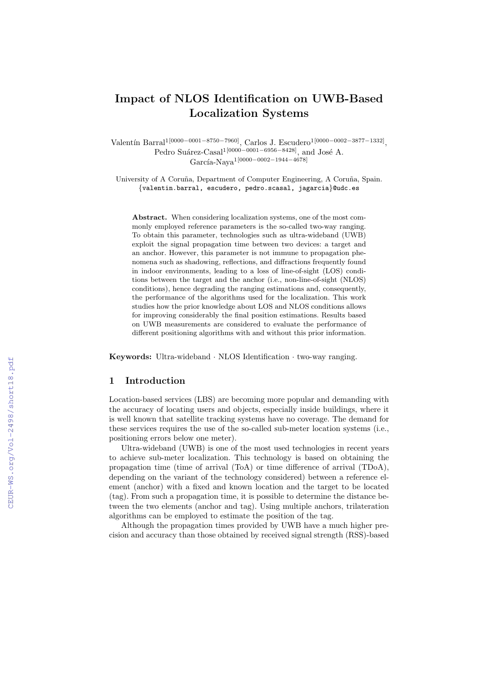# Impact of NLOS Identification on UWB-Based Localization Systems

Valentín Barral<sup>1[0000–0001–8750–7960]</sup>, Carlos J. Escudero<sup>1</sup>[<sup>0000–0002–3877–1332]</sup>, Pedro Suárez-Casal<sup>1[0000–0001–6956–8428]</sup>, and José A. García-Nava<sup>1</sup>[0000−0002−1944−4678]

University of A Coruña, Department of Computer Engineering, A Coruña, Spain. {valentin.barral, escudero, pedro.scasal, jagarcia}@udc.es

Abstract. When considering localization systems, one of the most commonly employed reference parameters is the so-called two-way ranging. To obtain this parameter, technologies such as ultra-wideband (UWB) exploit the signal propagation time between two devices: a target and an anchor. However, this parameter is not immune to propagation phenomena such as shadowing, reflections, and diffractions frequently found in indoor environments, leading to a loss of line-of-sight (LOS) conditions between the target and the anchor (i.e., non-line-of-sight (NLOS) conditions), hence degrading the ranging estimations and, consequently, the performance of the algorithms used for the localization. This work studies how the prior knowledge about LOS and NLOS conditions allows for improving considerably the final position estimations. Results based on UWB measurements are considered to evaluate the performance of different positioning algorithms with and without this prior information.

Keywords: Ultra-wideband · NLOS Identification · two-way ranging.

# 1 Introduction

Location-based services (LBS) are becoming more popular and demanding with the accuracy of locating users and objects, especially inside buildings, where it is well known that satellite tracking systems have no coverage. The demand for these services requires the use of the so-called sub-meter location systems (i.e., positioning errors below one meter).

Ultra-wideband (UWB) is one of the most used technologies in recent years to achieve sub-meter localization. This technology is based on obtaining the propagation time (time of arrival (ToA) or time difference of arrival (TDoA), depending on the variant of the technology considered) between a reference element (anchor) with a fixed and known location and the target to be located (tag). From such a propagation time, it is possible to determine the distance between the two elements (anchor and tag). Using multiple anchors, trilateration algorithms can be employed to estimate the position of the tag.

Although the propagation times provided by UWB have a much higher precision and accuracy than those obtained by received signal strength (RSS)-based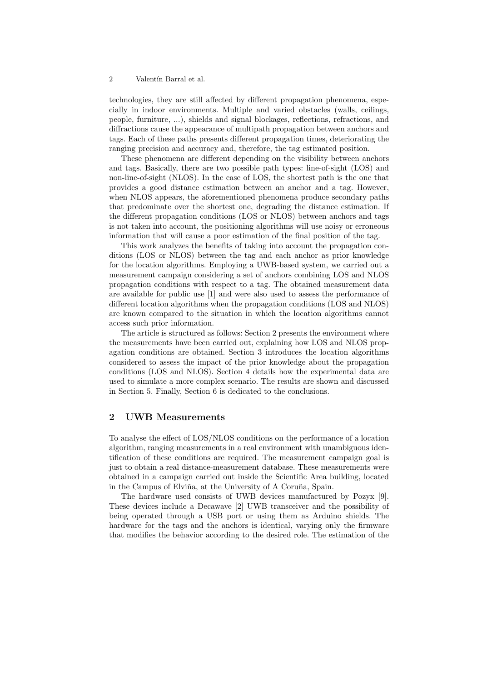technologies, they are still affected by different propagation phenomena, especially in indoor environments. Multiple and varied obstacles (walls, ceilings, people, furniture, ...), shields and signal blockages, reflections, refractions, and diffractions cause the appearance of multipath propagation between anchors and tags. Each of these paths presents different propagation times, deteriorating the ranging precision and accuracy and, therefore, the tag estimated position.

These phenomena are different depending on the visibility between anchors and tags. Basically, there are two possible path types: line-of-sight (LOS) and non-line-of-sight (NLOS). In the case of LOS, the shortest path is the one that provides a good distance estimation between an anchor and a tag. However, when NLOS appears, the aforementioned phenomena produce secondary paths that predominate over the shortest one, degrading the distance estimation. If the different propagation conditions (LOS or NLOS) between anchors and tags is not taken into account, the positioning algorithms will use noisy or erroneous information that will cause a poor estimation of the final position of the tag.

This work analyzes the benefits of taking into account the propagation conditions (LOS or NLOS) between the tag and each anchor as prior knowledge for the location algorithms. Employing a UWB-based system, we carried out a measurement campaign considering a set of anchors combining LOS and NLOS propagation conditions with respect to a tag. The obtained measurement data are available for public use [1] and were also used to assess the performance of different location algorithms when the propagation conditions (LOS and NLOS) are known compared to the situation in which the location algorithms cannot access such prior information.

The article is structured as follows: Section 2 presents the environment where the measurements have been carried out, explaining how LOS and NLOS propagation conditions are obtained. Section 3 introduces the location algorithms considered to assess the impact of the prior knowledge about the propagation conditions (LOS and NLOS). Section 4 details how the experimental data are used to simulate a more complex scenario. The results are shown and discussed in Section 5. Finally, Section 6 is dedicated to the conclusions.

### 2 UWB Measurements

To analyse the effect of LOS/NLOS conditions on the performance of a location algorithm, ranging measurements in a real environment with unambiguous identification of these conditions are required. The measurement campaign goal is just to obtain a real distance-measurement database. These measurements were obtained in a campaign carried out inside the Scientific Area building, located in the Campus of Elviña, at the University of A Coruña, Spain.

The hardware used consists of UWB devices manufactured by Pozyx [9]. These devices include a Decawave [2] UWB transceiver and the possibility of being operated through a USB port or using them as Arduino shields. The hardware for the tags and the anchors is identical, varying only the firmware that modifies the behavior according to the desired role. The estimation of the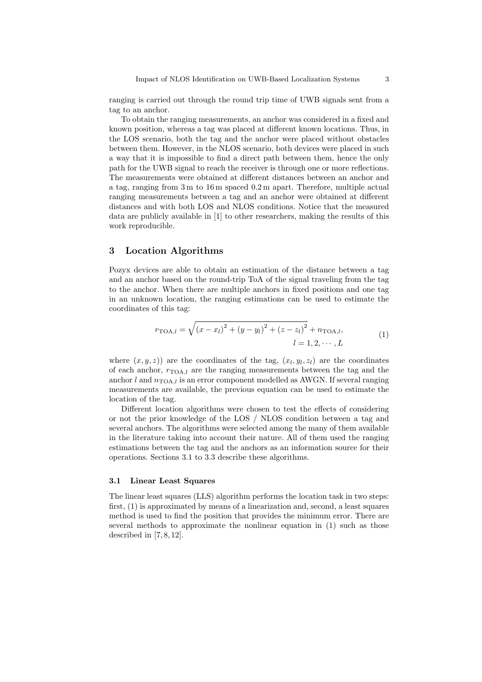ranging is carried out through the round trip time of UWB signals sent from a tag to an anchor.

To obtain the ranging measurements, an anchor was considered in a fixed and known position, whereas a tag was placed at different known locations. Thus, in the LOS scenario, both the tag and the anchor were placed without obstacles between them. However, in the NLOS scenario, both devices were placed in such a way that it is impossible to find a direct path between them, hence the only path for the UWB signal to reach the receiver is through one or more reflections. The measurements were obtained at different distances between an anchor and a tag, ranging from 3 m to 16 m spaced 0.2 m apart. Therefore, multiple actual ranging measurements between a tag and an anchor were obtained at different distances and with both LOS and NLOS conditions. Notice that the measured data are publicly available in [1] to other researchers, making the results of this work reproducible.

# 3 Location Algorithms

Pozyx devices are able to obtain an estimation of the distance between a tag and an anchor based on the round-trip ToA of the signal traveling from the tag to the anchor. When there are multiple anchors in fixed positions and one tag in an unknown location, the ranging estimations can be used to estimate the coordinates of this tag:

$$
r_{\text{TOA},l} = \sqrt{(x - x_l)^2 + (y - y_l)^2 + (z - z_l)^2} + n_{\text{TOA},l},
$$
  
\n
$$
l = 1, 2, \cdots, L
$$
 (1)

where  $(x, y, z)$  are the coordinates of the tag,  $(x_l, y_l, z_l)$  are the coordinates of each anchor,  $r_{\text{TOA},l}$  are the ranging measurements between the tag and the anchor  $l$  and  $n_{\text{TOA},l}$  is an error component modelled as AWGN. If several ranging measurements are available, the previous equation can be used to estimate the location of the tag.

Different location algorithms were chosen to test the effects of considering or not the prior knowledge of the LOS / NLOS condition between a tag and several anchors. The algorithms were selected among the many of them available in the literature taking into account their nature. All of them used the ranging estimations between the tag and the anchors as an information source for their operations. Sections 3.1 to 3.3 describe these algorithms.

#### 3.1 Linear Least Squares

The linear least squares (LLS) algorithm performs the location task in two steps: first, (1) is approximated by means of a linearization and, second, a least squares method is used to find the position that provides the minimum error. There are several methods to approximate the nonlinear equation in (1) such as those described in  $[7, 8, 12]$ .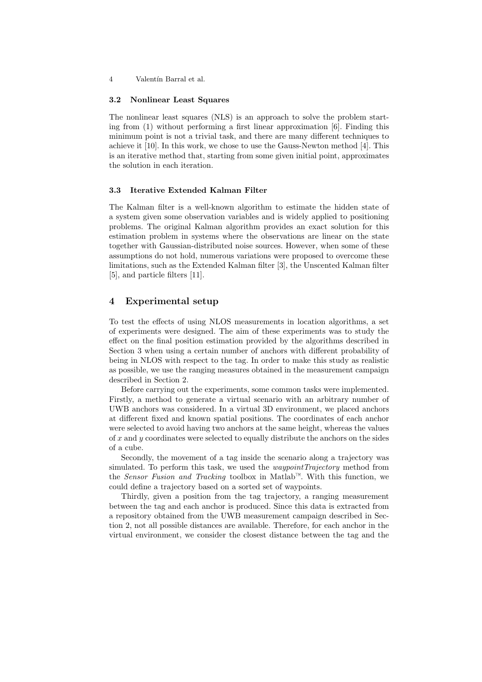### 3.2 Nonlinear Least Squares

The nonlinear least squares (NLS) is an approach to solve the problem starting from (1) without performing a first linear approximation [6]. Finding this minimum point is not a trivial task, and there are many different techniques to achieve it [10]. In this work, we chose to use the Gauss-Newton method [4]. This is an iterative method that, starting from some given initial point, approximates the solution in each iteration.

### 3.3 Iterative Extended Kalman Filter

The Kalman filter is a well-known algorithm to estimate the hidden state of a system given some observation variables and is widely applied to positioning problems. The original Kalman algorithm provides an exact solution for this estimation problem in systems where the observations are linear on the state together with Gaussian-distributed noise sources. However, when some of these assumptions do not hold, numerous variations were proposed to overcome these limitations, such as the Extended Kalman filter [3], the Unscented Kalman filter [5], and particle filters [11].

# 4 Experimental setup

To test the effects of using NLOS measurements in location algorithms, a set of experiments were designed. The aim of these experiments was to study the effect on the final position estimation provided by the algorithms described in Section 3 when using a certain number of anchors with different probability of being in NLOS with respect to the tag. In order to make this study as realistic as possible, we use the ranging measures obtained in the measurement campaign described in Section 2.

Before carrying out the experiments, some common tasks were implemented. Firstly, a method to generate a virtual scenario with an arbitrary number of UWB anchors was considered. In a virtual 3D environment, we placed anchors at different fixed and known spatial positions. The coordinates of each anchor were selected to avoid having two anchors at the same height, whereas the values of  $x$  and  $y$  coordinates were selected to equally distribute the anchors on the sides of a cube.

Secondly, the movement of a tag inside the scenario along a trajectory was simulated. To perform this task, we used the *waypointTrajectory* method from the Sensor Fusion and Tracking toolbox in Matlab™. With this function, we could define a trajectory based on a sorted set of waypoints.

Thirdly, given a position from the tag trajectory, a ranging measurement between the tag and each anchor is produced. Since this data is extracted from a repository obtained from the UWB measurement campaign described in Section 2, not all possible distances are available. Therefore, for each anchor in the virtual environment, we consider the closest distance between the tag and the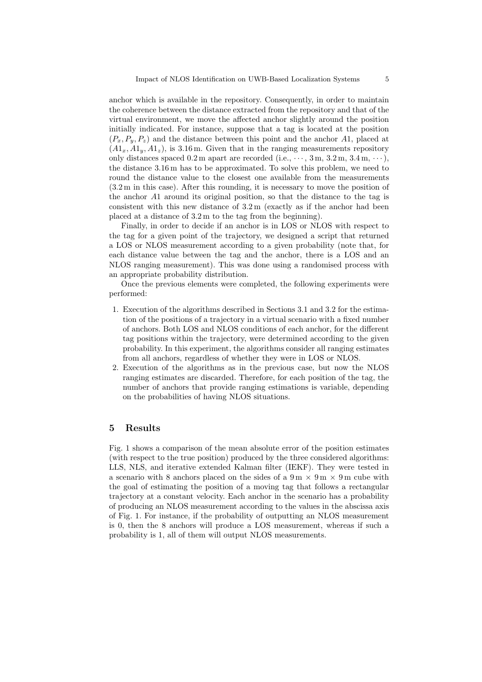anchor which is available in the repository. Consequently, in order to maintain the coherence between the distance extracted from the repository and that of the virtual environment, we move the affected anchor slightly around the position initially indicated. For instance, suppose that a tag is located at the position  $(P_x, P_y, P_z)$  and the distance between this point and the anchor A1, placed at  $(A1_x, A1_y, A1_z)$ , is 3.16 m. Given that in the ranging measurements repository only distances spaced  $0.2 \text{ m}$  apart are recorded (i.e.,  $\cdots$ , 3 m, 3.2 m, 3.4 m,  $\cdots$ ), the distance 3.16 m has to be approximated. To solve this problem, we need to round the distance value to the closest one available from the measurements (3.2 m in this case). After this rounding, it is necessary to move the position of the anchor A1 around its original position, so that the distance to the tag is consistent with this new distance of 3.2 m (exactly as if the anchor had been placed at a distance of 3.2 m to the tag from the beginning).

Finally, in order to decide if an anchor is in LOS or NLOS with respect to the tag for a given point of the trajectory, we designed a script that returned a LOS or NLOS measurement according to a given probability (note that, for each distance value between the tag and the anchor, there is a LOS and an NLOS ranging measurement). This was done using a randomised process with an appropriate probability distribution.

Once the previous elements were completed, the following experiments were performed:

- 1. Execution of the algorithms described in Sections 3.1 and 3.2 for the estimation of the positions of a trajectory in a virtual scenario with a fixed number of anchors. Both LOS and NLOS conditions of each anchor, for the different tag positions within the trajectory, were determined according to the given probability. In this experiment, the algorithms consider all ranging estimates from all anchors, regardless of whether they were in LOS or NLOS.
- 2. Execution of the algorithms as in the previous case, but now the NLOS ranging estimates are discarded. Therefore, for each position of the tag, the number of anchors that provide ranging estimations is variable, depending on the probabilities of having NLOS situations.

### 5 Results

Fig. 1 shows a comparison of the mean absolute error of the position estimates (with respect to the true position) produced by the three considered algorithms: LLS, NLS, and iterative extended Kalman filter (IEKF). They were tested in a scenario with 8 anchors placed on the sides of a  $9 \text{ m} \times 9 \text{ m} \times 9 \text{ m}$  cube with the goal of estimating the position of a moving tag that follows a rectangular trajectory at a constant velocity. Each anchor in the scenario has a probability of producing an NLOS measurement according to the values in the abscissa axis of Fig. 1. For instance, if the probability of outputting an NLOS measurement is 0, then the 8 anchors will produce a LOS measurement, whereas if such a probability is 1, all of them will output NLOS measurements.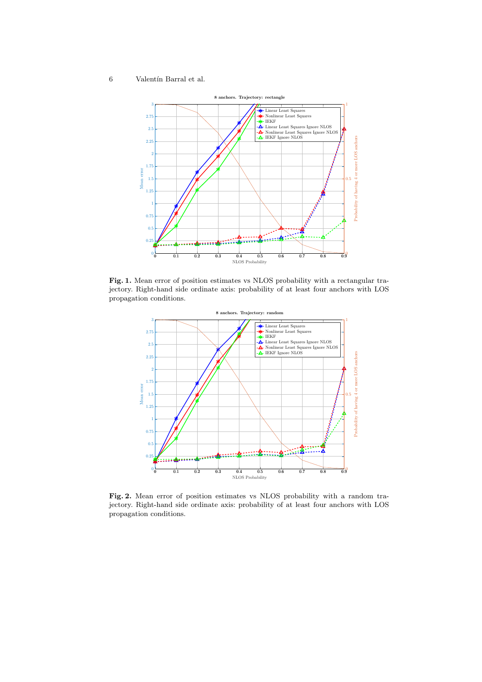

Fig. 1. Mean error of position estimates vs NLOS probability with a rectangular trajectory. Right-hand side ordinate axis: probability of at least four anchors with LOS propagation conditions.



Fig. 2. Mean error of position estimates vs NLOS probability with a random trajectory. Right-hand side ordinate axis: probability of at least four anchors with LOS propagation conditions.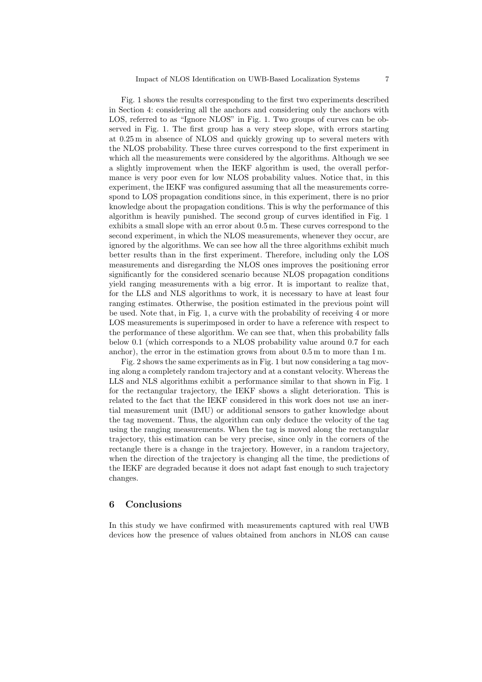Fig. 1 shows the results corresponding to the first two experiments described in Section 4: considering all the anchors and considering only the anchors with LOS, referred to as "Ignore NLOS" in Fig. 1. Two groups of curves can be observed in Fig. 1. The first group has a very steep slope, with errors starting at 0.25 m in absence of NLOS and quickly growing up to several meters with the NLOS probability. These three curves correspond to the first experiment in which all the measurements were considered by the algorithms. Although we see a slightly improvement when the IEKF algorithm is used, the overall performance is very poor even for low NLOS probability values. Notice that, in this experiment, the IEKF was configured assuming that all the measurements correspond to LOS propagation conditions since, in this experiment, there is no prior knowledge about the propagation conditions. This is why the performance of this algorithm is heavily punished. The second group of curves identified in Fig. 1 exhibits a small slope with an error about 0.5 m. These curves correspond to the second experiment, in which the NLOS measurements, whenever they occur, are ignored by the algorithms. We can see how all the three algorithms exhibit much better results than in the first experiment. Therefore, including only the LOS measurements and disregarding the NLOS ones improves the positioning error significantly for the considered scenario because NLOS propagation conditions yield ranging measurements with a big error. It is important to realize that, for the LLS and NLS algorithms to work, it is necessary to have at least four ranging estimates. Otherwise, the position estimated in the previous point will be used. Note that, in Fig. 1, a curve with the probability of receiving 4 or more LOS measurements is superimposed in order to have a reference with respect to the performance of these algorithm. We can see that, when this probability falls below 0.1 (which corresponds to a NLOS probability value around 0.7 for each anchor), the error in the estimation grows from about 0.5 m to more than 1 m.

Fig. 2 shows the same experiments as in Fig. 1 but now considering a tag moving along a completely random trajectory and at a constant velocity. Whereas the LLS and NLS algorithms exhibit a performance similar to that shown in Fig. 1 for the rectangular trajectory, the IEKF shows a slight deterioration. This is related to the fact that the IEKF considered in this work does not use an inertial measurement unit (IMU) or additional sensors to gather knowledge about the tag movement. Thus, the algorithm can only deduce the velocity of the tag using the ranging measurements. When the tag is moved along the rectangular trajectory, this estimation can be very precise, since only in the corners of the rectangle there is a change in the trajectory. However, in a random trajectory, when the direction of the trajectory is changing all the time, the predictions of the IEKF are degraded because it does not adapt fast enough to such trajectory changes.

### 6 Conclusions

In this study we have confirmed with measurements captured with real UWB devices how the presence of values obtained from anchors in NLOS can cause